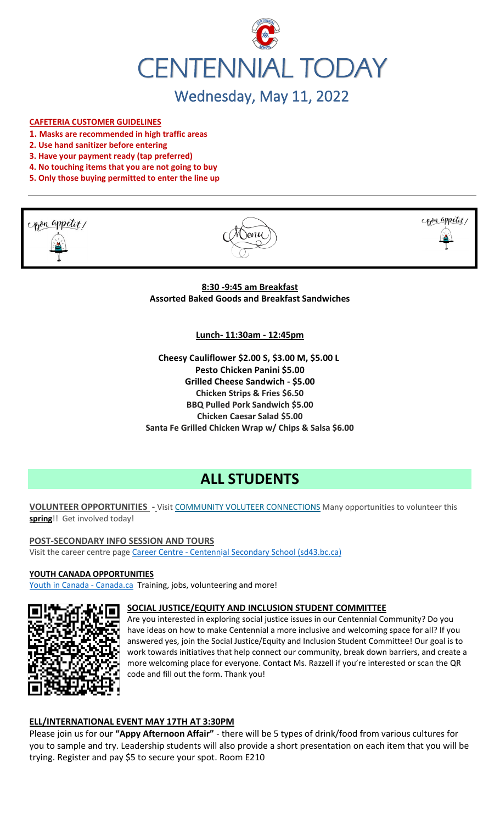

# Wednesday, May 11, 2022

#### **CAFETERIA CUSTOMER GUIDELINES**

- **1. Masks are recommended in high traffic areas**
- **2. Use hand sanitizer before entering**
- **3. Have your payment ready (tap preferred)**
- **4. No touching items that you are not going to buy**
- **5. Only those buying permitted to enter the line up**







**8:30 -9:45 am Breakfast Assorted Baked Goods and Breakfast Sandwiches**

**Lunch- 11:30am - 12:45pm**

**Cheesy Cauliflower \$2.00 S, \$3.00 M, \$5.00 L Pesto Chicken Panini \$5.00 Grilled Cheese Sandwich - \$5.00 Chicken Strips & Fries \$6.50 BBQ Pulled Pork Sandwich \$5.00 Chicken Caesar Salad \$5.00 Santa Fe Grilled Chicken Wrap w/ Chips & Salsa \$6.00**

# **ALL STUDENTS**

#### **VOLUNTEER OPPORTUNITIES -** Visit [COMMUNITY VOLUTEER CONNECTIONS](http://cvc.bcvolunteer.ca/?utm_medium=email&_hsmi=212053802&_hsenc=p2ANqtz-9C8dpzKk2EMx5WaRlcu1rFP2YEXC5VAFvsOvn5_wxMc57Cdw3Mh5OQLY2UlP06JDrovG2rZ7VwFdjY3Ko2dQzZDqra3w&utm_content=212053802&utm_source=hs_email) Many opportunities to volunteer this **spring**!! Get involved today!

#### **POST-SECONDARY INFO SESSION AND TOURS**

Visit the career centre page Career Centre - [Centennial Secondary School \(sd43.bc.ca\)](https://www.sd43.bc.ca/school/centennial/ProgramsServices/CareerCentre/postsecondary/Pages/default.aspx#/=)

#### **YOUTH CANADA OPPORTUNITIES**

[Youth in Canada -](https://www.canada.ca/en/services/youth.html) Canada.ca Training, jobs, volunteering and more!



#### **SOCIAL JUSTICE/EQUITY AND INCLUSION STUDENT COMMITTEE**

Are you interested in exploring social justice issues in our Centennial Community? Do you have ideas on how to make Centennial a more inclusive and welcoming space for all? If you answered yes, join the Social Justice/Equity and Inclusion Student Committee! Our goal is to work towards initiatives that help connect our community, break down barriers, and create a more welcoming place for everyone. Contact Ms. Razzell if you're interested or scan the QR code and fill out the form. Thank you!

#### **ELL/INTERNATIONAL EVENT MAY 17TH AT 3:30PM**

Please join us for our **"Appy Afternoon Affair"** - there will be 5 types of drink/food from various cultures for you to sample and try. Leadership students will also provide a short presentation on each item that you will be trying. Register and pay \$5 to secure your spot. Room E210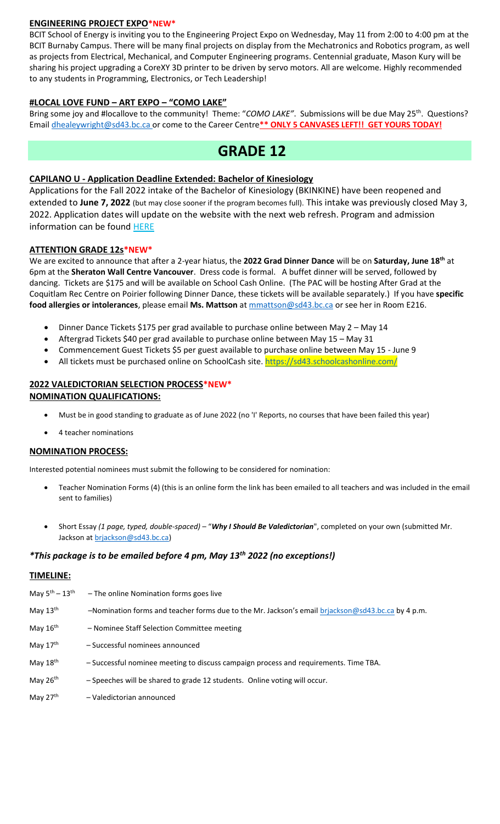#### **ENGINEERING PROJECT EXPO\*NEW\***

BCIT School of Energy is inviting you to the Engineering Project Expo on Wednesday, May 11 from 2:00 to 4:00 pm at the BCIT Burnaby Campus. There will be many final projects on display from the Mechatronics and Robotics program, as well as projects from Electrical, Mechanical, and Computer Engineering programs. Centennial graduate, Mason Kury will be sharing his project upgrading a CoreXY 3D printer to be driven by servo motors. All are welcome. Highly recommended to any students in Programming, Electronics, or Tech Leadership!

#### **#LOCAL LOVE FUND – ART EXPO – "COMO LAKE"**

Bring some joy and #locallove to the community! Theme: "COMO LAKE". Submissions will be due May 25<sup>th</sup>. Questions? Email [dhealeywright@sd43.bc.ca](mailto:dhealeywright@sd43.bc.ca) or come to the Career Centre**\*\* ONLY 5 CANVASES LEFT!! GET YOURS TODAY!**

## **GRADE 12**

#### **CAPILANO U - Application Deadline Extended: Bachelor of Kinesiology**

Applications for the Fall 2022 intake of the Bachelor of Kinesiology (BKINKINE) have been reopened and extended to **June 7, 2022** (but may close sooner if the program becomes full). This intake was previously closed May 3, 2022. Application dates will update on the website with the next web refresh. Program and admission information can be found [HERE](https://r20.rs6.net/tn.jsp?f=001SUzFX9y6x_DZ8u1ILhrZoR561QI7ko-glqLZ3NGKEFYDiPkHhwaQO5hadoW4JFVrApBljFLx0BCplok2Va4m_w32cW5s6kD5qv8NykZgy9Zo72NK3zwzReaGpUNNGz3GRbVeQAJCqhUivMUWEW1rI3-OAq6I8DoKzJOqbnBGczpT3WvMJ8WdqqH5YzRx_ltcjN6YI1_AoMBQ78y5WnWPt6b6a38aSrIOtAeTudxClJQPgYbTky18V93Bm4ygG_m5VH6MYk12RIgavzLTCSojuA==&c=3pWigr51xerjgpsJQfV7gCmLcs4LPkC7OicqYYgjmVJbku7DyMgbQA==&ch=xtJxjTAWGbsUBfCzEiIL8P3QkU5CEUWkteH7aJ3afKtmbmqCWhD_Rg==)

#### **ATTENTION GRADE 12s\*NEW\***

We are excited to announce that after a 2-year hiatus, the **2022 Grad Dinner Dance** will be on **Saturday, June 18 th** at 6pm at the **Sheraton Wall Centre Vancouver**. Dress code is formal. A buffet dinner will be served, followed by dancing. Tickets are \$175 and will be available on School Cash Online. (The PAC will be hosting After Grad at the Coquitlam Rec Centre on Poirier following Dinner Dance, these tickets will be available separately.) If you have **specific food allergies or intolerances**, please email **Ms. Mattson** at [mmattson@sd43.bc.ca](mailto:mmattson@sd43.bc.ca) or see her in Room E216.

- Dinner Dance Tickets \$175 per grad available to purchase online between May 2 May 14
- Aftergrad Tickets \$40 per grad available to purchase online between May 15 May 31
- Commencement Guest Tickets \$5 per guest available to purchase online between May 15 June 9
- All tickets must be purchased online on SchoolCash site. <https://sd43.schoolcashonline.com/>

#### **2022 VALEDICTORIAN SELECTION PROCESS\*NEW\* NOMINATION QUALIFICATIONS:**

- Must be in good standing to graduate as of June 2022 (no 'I' Reports, no courses that have been failed this year)
- 4 teacher nominations

#### **NOMINATION PROCESS:**

Interested potential nominees must submit the following to be considered for nomination:

- Teacher Nomination Forms (4) (this is an online form the link has been emailed to all teachers and was included in the email sent to families)
- Short Essay *(1 page, typed, double-spaced)* "*Why I Should Be Valedictorian*", completed on your own (submitted Mr. Jackson at [brjackson@sd43.bc.ca\)](mailto:bking@sd43.bc.ca)

#### *\*This package is to be emailed before 4 pm, May 13th 2022 (no exceptions!)*

#### **TIMELINE:**

| May $5^{th} - 13^{th}$ | - The online Nomination forms goes live                                                           |
|------------------------|---------------------------------------------------------------------------------------------------|
| May $13^{\text{th}}$   | -Nomination forms and teacher forms due to the Mr. Jackson's email briackson@sd43.bc.ca by 4 p.m. |
| May $16^{\text{th}}$   | - Nominee Staff Selection Committee meeting                                                       |
| May $17^{\text{th}}$   | - Successful nominees announced                                                                   |
| May 18 <sup>th</sup>   | - Successful nominee meeting to discuss campaign process and requirements. Time TBA.              |
| May 26 <sup>th</sup>   | - Speeches will be shared to grade 12 students. Online voting will occur.                         |
| May 27 <sup>th</sup>   | - Valedictorian announced                                                                         |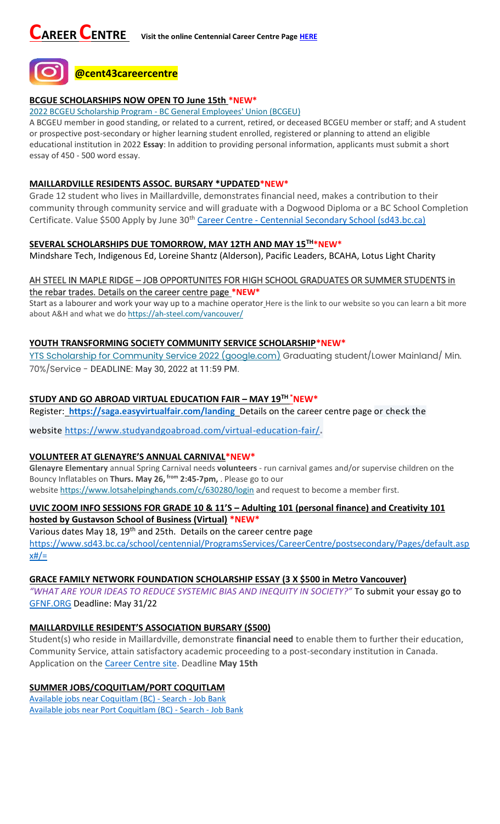

## **BCGUE SCHOLARSHIPS NOW OPEN TO June 15th \*NEW\***

2022 BCGEU Scholarship Program - [BC General Employees' Union \(BCGEU\)](https://www.bcgeu.ca/2022_bcgeu_scholarship_program)

A BCGEU member in good standing, or related to a current, retired, or deceased BCGEU member or staff; and A student or prospective post-secondary or higher learning student enrolled, registered or planning to attend an eligible educational institution in 2022 **Essay**: In addition to providing personal information, applicants must submit a short essay of 450 - 500 word essay.

#### **MAILLARDVILLE RESIDENTS ASSOC. BURSARY \*UPDATED\*NEW\***

Grade 12 student who lives in Maillardville, demonstrates financial need, makes a contribution to their community through community service and will graduate with a Dogwood Diploma or a BC School Completion Certificate. Value \$500 Apply by June 30<sup>th</sup> Career Centre - [Centennial Secondary School \(sd43.bc.ca\)](https://www.sd43.bc.ca/school/centennial/ProgramsServices/CareerCentre/financeawards/Pages/default.aspx?login=-73147025#/=)

#### **SEVERAL SCHOLARSHIPS DUE TOMORROW, MAY 12TH AND MAY 15TH\*NEW\***

Mindshare Tech, Indigenous Ed, Loreine Shantz (Alderson), Pacific Leaders, BCAHA, Lotus Light Charity

#### AH STEEL IN MAPLE RIDGE – JOB OPPORTUNITES FOR HIGH SCHOOL GRADUATES OR SUMMER STUDENTS in the rebar trades. Details on the career centre page **\*NEW\***

Start as a labourer and work your way up to a machine operator Here is the link to our website so you can learn a bit more about A&H and what we do <https://ah-steel.com/vancouver/>

#### **YOUTH TRANSFORMING SOCIETY COMMUNITY SERVICE SCHOLARSHIP\*NEW\***

[YTS Scholarship for Community Service 2022 \(google.com\)](https://docs.google.com/forms/d/e/1FAIpQLSeQZEWFkQlGBaklvqyoo4-r4lqu0HoIY_y418VNZeULfBFXIQ/viewform) Graduating student/Lower Mainland/ Min. 70%/Service - DEADLINE: May 30, 2022 at 11:59 PM.

## **STUDY AND GO ABROAD VIRTUAL EDUCATION FAIR – MAY 19TH \*NEW\***

Register: **<https://saga.easyvirtualfair.com/landing>** Details on the career centre page or check the

website <https://www.studyandgoabroad.com/virtual-education-fair/>.

#### **VOLUNTEER AT GLENAYRE'S ANNUAL CARNIVAL\*NEW\***

**Glenayre Elementary** annual Spring Carnival needs **volunteers** - run carnival games and/or supervise children on the Bouncy Inflatables on **Thurs. May 26, from 2:45-7pm,** . Please go to our

website <https://www.lotsahelpinghands.com/c/630280/login> and request to become a member first.

### **UVIC ZOOM INFO SESSIONS FOR GRADE 10 & 11'S – Adulting 101 (personal finance) and Creativity 101 hosted by Gustavson School of Business (Virtual) \*NEW\***

Various dates May 18, 19<sup>th</sup> and 25th. Details on the career centre page [https://www.sd43.bc.ca/school/centennial/ProgramsServices/CareerCentre/postsecondary/Pages/default.asp](https://www.sd43.bc.ca/school/centennial/ProgramsServices/CareerCentre/postsecondary/Pages/default.aspx#/=)  $x#/=$ 

#### **GRACE FAMILY NETWORK FOUNDATION SCHOLARSHIP ESSAY (3 X \$500 in Metro Vancouver)**

*"WHAT ARE YOUR IDEAS TO REDUCE SYSTEMIC BIAS AND INEQUITY IN SOCIETY?"* To submit your essay go to [GFNF.ORG](http://www.gfnf.org/) Deadline: May 31/22

#### **MAILLARDVILLE RESIDENT'S ASSOCIATION BURSARY (\$500)**

Student(s) who reside in Maillardville, demonstrate **financial need** to enable them to further their education, Community Service, attain satisfactory academic proceeding to a post-secondary institution in Canada. Application on the [Career Centre site.](https://www.sd43.bc.ca/school/centennial/ProgramsServices/CareerCentre/financeawards/Pages/default.aspx#/=) Deadline **May 15th**

## **SUMMER JOBS/COQUITLAM/PORT COQUITLAM**

[Available jobs near Coquitlam \(BC\) -](https://www.jobbank.gc.ca/jobsearch/jobsearch?fsrc=21&searchstring=&locationstring=COQUITLAM&mid=&button.submit=Search) Search - Job Bank [Available jobs near Port Coquitlam \(BC\) -](https://www.jobbank.gc.ca/jobsearch/jobsearch?searchstring=&locationstring=Port+Coquitlam%2C+BC&fsrc=21) Search - Job Bank